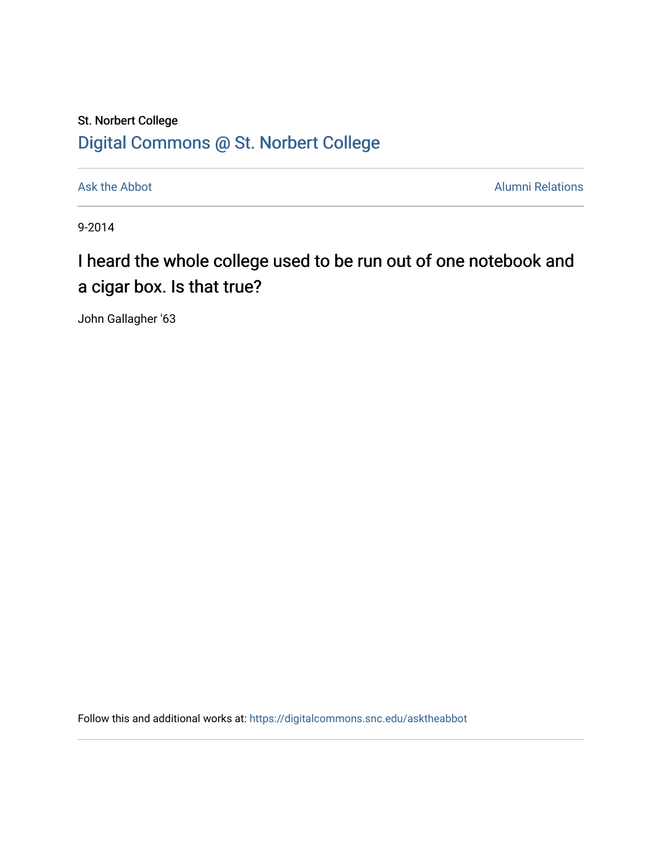## St. Norbert College [Digital Commons @ St. Norbert College](https://digitalcommons.snc.edu/)

[Ask the Abbot](https://digitalcommons.snc.edu/asktheabbot) **Alumni Relations** Alumni Relations

9-2014

## I heard the whole college used to be run out of one notebook and a cigar box. Is that true?

John Gallagher '63

Follow this and additional works at: [https://digitalcommons.snc.edu/asktheabbot](https://digitalcommons.snc.edu/asktheabbot?utm_source=digitalcommons.snc.edu%2Fasktheabbot%2F81&utm_medium=PDF&utm_campaign=PDFCoverPages)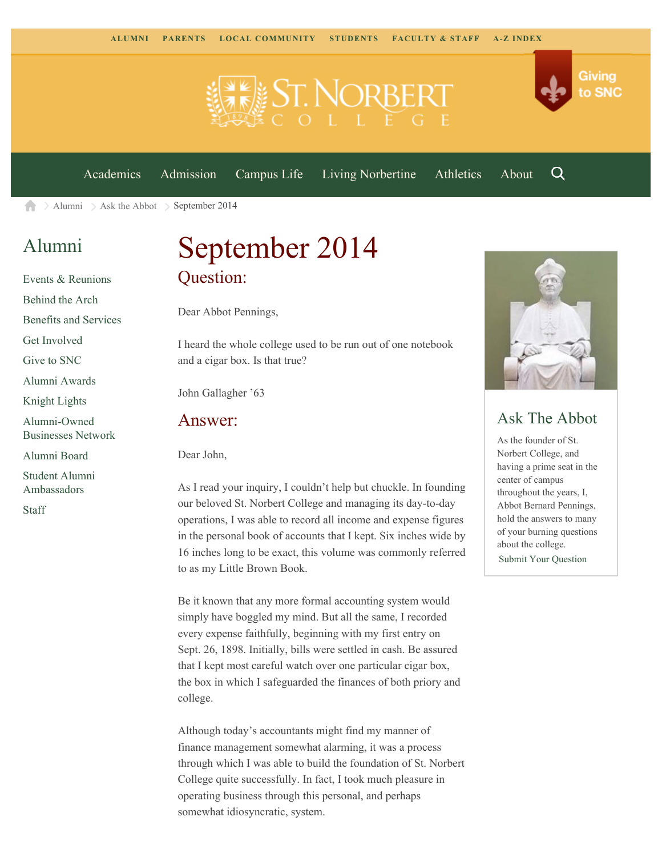



[Academics](https://www.snc.edu/academics) [Admission](https://www.snc.edu/admission) [Campus Life](https://www.snc.edu/campuslife) [Living Norbertine](https://www.snc.edu/livingnorbertine) [Athletics](https://www.snc.edu/athletics) [About](https://www.snc.edu/about)

Q

[Alumni](https://www.snc.edu/alumni/)  $\geq$  [Ask the Abbot](https://www.snc.edu/alumni/abbot/)  $\geq$  September 2014 A

## [Alumni](https://www.snc.edu/alumni/index.html)

[Events & Reunions](https://www.snc.edu/alumni/event/index.html) [Behind the Arch](https://www.snc.edu/alumni/event/behindthearch/) [Benefits and Services](https://www.snc.edu/alumni/benefits.html) [Get Involved](https://www.snc.edu/alumni/getinvolved.html) [Give to SNC](http://giving.snc.edu/) [Alumni Awards](https://www.snc.edu/alumni/awards/index.html) [Knight Lights](https://www.snc.edu/alumni/knightlights/index.html) [Alumni-Owned](https://www.snc.edu/alumni/directory/index.html) [Businesses Network](https://www.snc.edu/alumni/directory/index.html) [Alumni Board](https://www.snc.edu/alumni/alumniboard.html)

[Student Alumni](https://www.snc.edu/alumni/saa.html) [Ambassadors](https://www.snc.edu/alumni/saa.html)

[Staff](https://www.snc.edu/alumni/contactus.html)

# September 2014 Question:

Dear Abbot Pennings,

I heard the whole college used to be run out of one notebook and a cigar box. Is that true?

John Gallagher '63

#### Answer:

Dear John,

As I read your inquiry, I couldn't help but chuckle. In founding our beloved St. Norbert College and managing its day-to-day operations, I was able to record all income and expense figures in the personal book of accounts that I kept. Six inches wide by 16 inches long to be exact, this volume was commonly referred to as my Little Brown Book.

Be it known that any more formal accounting system would simply have boggled my mind. But all the same, I recorded every expense faithfully, beginning with my first entry on Sept. 26, 1898. Initially, bills were settled in cash. Be assured that I kept most careful watch over one particular cigar box, the box in which I safeguarded the finances of both priory and college.

Although today's accountants might find my manner of finance management somewhat alarming, it was a process through which I was able to build the foundation of St. Norbert College quite successfully. In fact, I took much pleasure in operating business through this personal, and perhaps somewhat idiosyncratic, system.



### Ask The Abbot

As the founder of St. Norbert College, and having a prime seat in the center of campus throughout the years, I, Abbot Bernard Pennings, hold the answers to many of your burning questions about the college. [Submit Your Question](https://www.snc.edu/alumni/abbot/index.html)